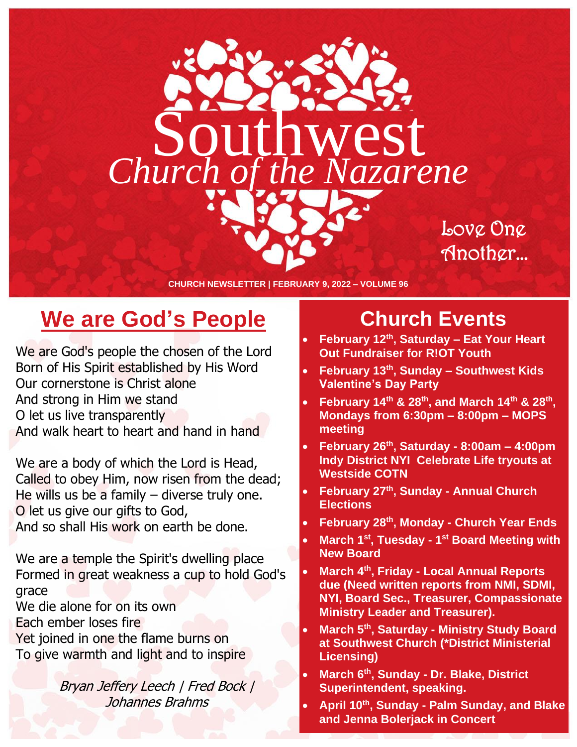

Love One Another…

**CHURCH NEWSLETTER | FEBRUARY 9, 2022 – VOLUME 96**

### **We are God's People**

We are God's people the chosen of the Lord Born of His Spirit established by His Word Our cornerstone is Christ alone And strong in Him we stand O let us live transparently And walk heart to heart and hand in hand

We are a body of which the Lord is Head, Called to obey Him, now risen from the dead; He wills us be a family  $-$  diverse truly one. O let us give our gifts to God, And so shall His work on earth be done.

We are a temple the Spirit's dwelling place Formed in great weakness a cup to hold God's grace

We die alone for on its own

Each ember loses fire

Yet joined in one the flame burns on To give warmth and light and to inspire

> Bryan Jeffery Leech | Fred Bock | Johannes Brahms

### **Church Events**

- **February 12th, Saturday – Eat Your Heart Out Fundraiser for R!OT Youth**
- **February 13th, Sunday – Southwest Kids Valentine's Day Party**
- **February 14th & 28th, and March 14th & 28th , Mondays from 6:30pm – 8:00pm – MOPS meeting**
- **February 26th, Saturday - 8:00am – 4:00pm Indy District NYI Celebrate Life tryouts at Westside COTN**
- **February 27th, Sunday - Annual Church Elections**
- **February 28th, Monday - Church Year Ends**
- **March 1st, Tuesday - 1 st Board Meeting with New Board**
- **March 4th, Friday - Local Annual Reports due (Need written reports from NMI, SDMI, NYI, Board Sec., Treasurer, Compassionate Ministry Leader and Treasurer).**
- **March 5th, Saturday - Ministry Study Board at Southwest Church (\*District Ministerial Licensing)**
- **March 6th, Sunday - Dr. Blake, District Superintendent, speaking.**
- **April 10th, Sunday - Palm Sunday, and Blake and Jenna Bolerjack in Concert**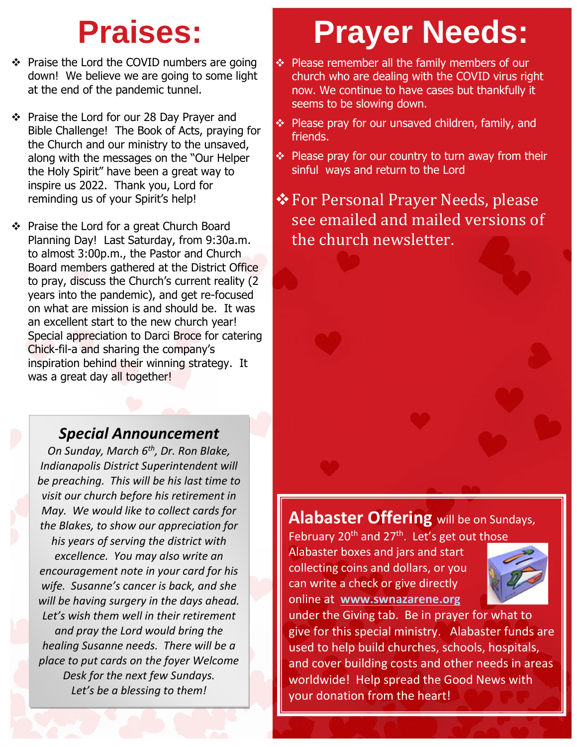- ❖ Praise the Lord the COVID numbers are going down! We believe we are going to some light at the end of the pandemic tunnel.
- ❖ Praise the Lord for our 28 Day Prayer and Bible Challenge! The Book of Acts, praying for the Church and our ministry to the unsaved, along with the messages on the "Our Helper the Holy Spirit" have been a great way to inspire us 2022. Thank you, Lord for reminding us of your Spirit's help!
- ❖ Praise the Lord for a great Church Board Planning Day! Last Saturday, from 9:30a.m. to almost 3:00p.m., the Pastor and Church Board members gathered at the District Office to pray, discuss the Church's current reality (2 years into the pandemic), and get re-focused on what are mission is and should be. It was an excellent start to the new church year! Special appreciation to Darci Broce for catering Chick-fil-a and sharing the company's inspiration behind their winning strategy. It was a great day all together!

### *Special Announcement*

*On Sunday, March 6th, Dr. Ron Blake, Indianapolis District Superintendent will be preaching. This will be his last time to visit our church before his retirement in May. We would like to collect cards for the Blakes, to show our appreciation for his years of serving the district with excellence. You may also write an encouragement note in your card for his wife. Susanne's cancer is back, and she will be having surgery in the days ahead. Let's wish them well in their retirement and pray the Lord would bring the healing Susanne needs. There will be a place to put cards on the foyer Welcome Desk for the next few Sundays. Let's be a blessing to them!*

# **Praises: Prayer Needs:**

- ❖ Please remember all the family members of our church who are dealing with the COVID virus right now. We continue to have cases but thankfully it seems to be slowing down.
- ❖ Please pray for our unsaved children, family, and friends.
- ❖ Please pray for our country to turn away from their sinful ways and return to the Lord

### ❖For Personal Prayer Needs, please see emailed and mailed versions of the church newsletter.

### **Alabaster Offering** will be on Sundays,

February 20<sup>th</sup> and 27<sup>th</sup>. Let's get out those Alabaster boxes and jars and start collecting coins and dollars, or you can write a check or give directly online at **[www.swnazarene.org](http://www.swnazarene.org/)**



under the Giving tab. Be in prayer for what to give for this special ministry. Alabaster funds are used to help build churches, schools, hospitals, and cover building costs and other needs in areas worldwide! Help spread the Good News with your donation from the heart!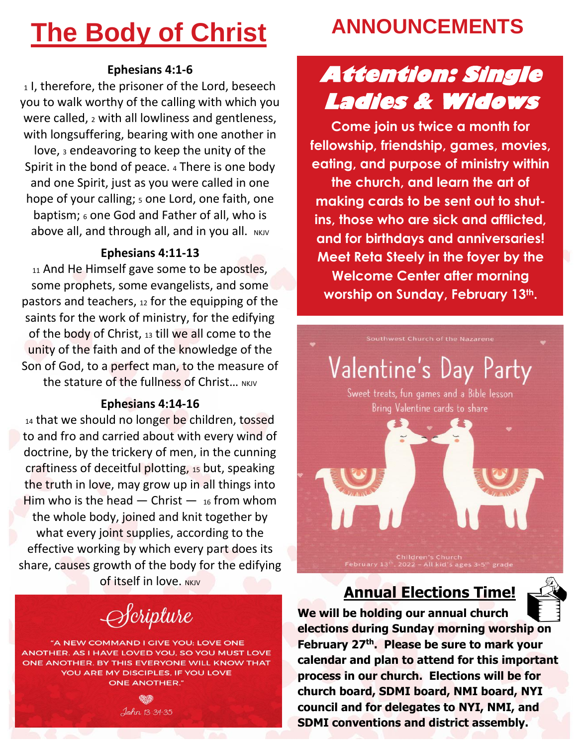## **The Body of Christ**

#### **Ephesians 4:1-6**

1, therefore, the prisoner of the Lord, beseech you to walk worthy of the calling with which you were called, 2 with all lowliness and gentleness, with longsuffering, bearing with one another in love, <sup>3</sup> endeavoring to keep the unity of the Spirit in the bond of peace.  $4$  There is one body and one Spirit, just as you were called in one hope of your calling; 5 one Lord, one faith, one baptism; <sup>6</sup> one God and Father of all, who is above all, and through all, and in you all.  $N$ KJV

#### **Ephesians 4:11-13**

11 And He Himself gave some to be apostles, some prophets, some evangelists, and some pastors and teachers, <sup>12</sup> for the equipping of the saints for the work of ministry, for the edifying of the body of Christ, <sup>13</sup> till we all come to the unity of the faith and of the knowledge of the Son of God, to a perfect man, to the measure of the stature of the fullness of Christ... NKIV

#### **Ephesians 4:14-16**

14 that we should no longer be children, tossed to and fro and carried about with every wind of doctrine, by the trickery of men, in the cunning craftiness of deceitful plotting, <sup>15</sup> but, speaking the truth in love, may grow up in all things into Him who is the head  $-$  Christ  $-$  16 from whom the whole body, joined and knit together by what every joint supplies, according to the effective working by which every part does its share, causes growth of the body for the edifying **of itself in love. NKJV** 

## $\rightarrow$ *Cripture*

"A NEW COMMAND I GIVE YOU: LOVE ONE ANOTHER. AS I HAVE LOVED YOU, SO YOU MUST LOVE ONE ANOTHER. BY THIS EVERYONE WILL KNOW THAT YOU ARE MY DISCIPLES, IF YOU LOVE **ONE ANOTHER."** 



### **ANNOUNCEMENTS**

## **Attention: Single Ladies & Widows**

**Come join us twice a month for fellowship, friendship, games, movies, eating, and purpose of ministry within the church, and learn the art of making cards to be sent out to shutins, those who are sick and afflicted, and for birthdays and anniversaries! Meet Reta Steely in the foyer by the Welcome Center after morning worship on Sunday, February 13th.**

## Valentine's Day Party

Sweet treats, fun games and a Bible lesson Bring Valentine cards to share

### **Annual Elections Time!**



**We will be holding our annual church elections during Sunday morning worship on February 27 th . Please be sure to mark your calendar and plan to attend for this important process in our church. Elections will be for church board, SDMI board, NMI board, NYI council and for delegates to NYI, NMI, and SDMI conventions and district assembly.**